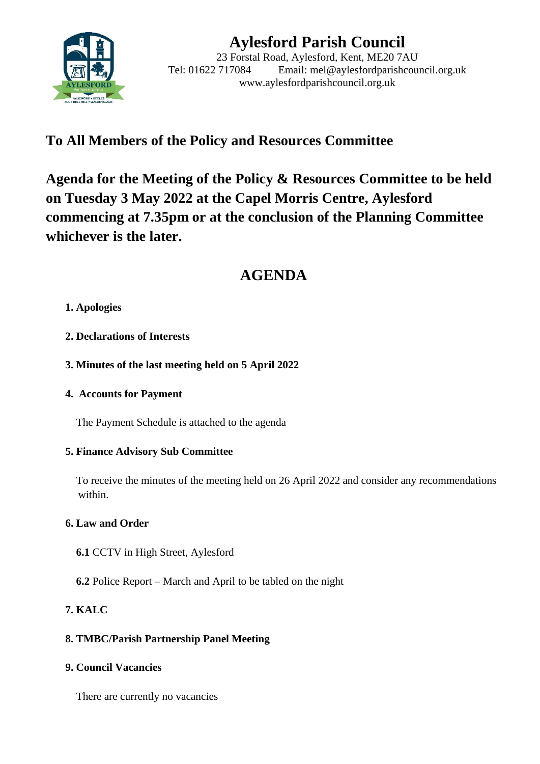

# **Aylesford Parish Council**

23 Forstal Road, Aylesford, Kent, ME20 7AU Tel: 01622 717084 Email: mel@aylesfordparishcouncil.org.uk www.aylesfordparishcouncil.org.uk

# **To All Members of the Policy and Resources Committee**

**Agenda for the Meeting of the Policy & Resources Committee to be held on Tuesday 3 May 2022 at the Capel Morris Centre, Aylesford commencing at 7.35pm or at the conclusion of the Planning Committee whichever is the later.**

# **AGENDA**

#### **1. Apologies**

- **2. Declarations of Interests**
- **3. Minutes of the last meeting held on 5 April 2022**
- **4. Accounts for Payment**

The Payment Schedule is attached to the agenda

#### **5. Finance Advisory Sub Committee**

 To receive the minutes of the meeting held on 26 April 2022 and consider any recommendations within.

## **6. Law and Order**

- **6.1** CCTV in High Street, Aylesford
- **6.2** Police Report March and April to be tabled on the night

## **7. KALC**

## **8. TMBC/Parish Partnership Panel Meeting**

**9. Council Vacancies**

There are currently no vacancies